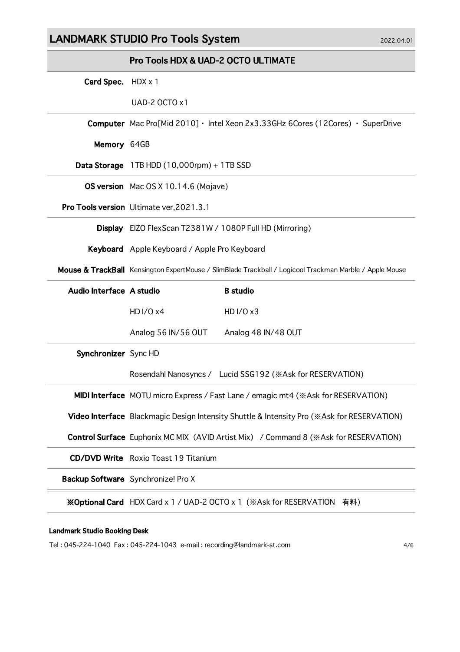# LANDMARK STUDIO Pro Tools System 2022.04.01

|                          | <b>Pro Tools HDX &amp; UAD-2 OCTO ULTIMATE</b>                                                          |                                                           |  |
|--------------------------|---------------------------------------------------------------------------------------------------------|-----------------------------------------------------------|--|
| Card Spec. HDX x 1       |                                                                                                         |                                                           |  |
|                          | UAD-2 OCTO x1                                                                                           |                                                           |  |
|                          | Computer Mac Pro[Mid 2010] · Intel Xeon 2x3.33GHz 6Cores (12Cores) · SuperDrive                         |                                                           |  |
| Memory 64GB              |                                                                                                         |                                                           |  |
|                          | Data Storage $1TB HDD(10,000rpm) + 1TB SSD$                                                             |                                                           |  |
|                          | <b>OS version</b> Mac OS X 10.14.6 (Mojave)                                                             |                                                           |  |
|                          | Pro Tools version Ultimate ver, 2021.3.1                                                                |                                                           |  |
|                          | Display EIZO FlexScan T2381W / 1080P Full HD (Mirroring)                                                |                                                           |  |
|                          | Keyboard Apple Keyboard / Apple Pro Keyboard                                                            |                                                           |  |
|                          | Mouse & TrackBall Kensington ExpertMouse / SlimBlade Trackball / Logicool Trackman Marble / Apple Mouse |                                                           |  |
| Audio Interface A studio |                                                                                                         | <b>B</b> studio                                           |  |
|                          | HD $I/Ox4$                                                                                              | HD I/O x3                                                 |  |
|                          | Analog 56 IN/56 OUT                                                                                     | Analog 48 IN/48 OUT                                       |  |
| Synchronizer Sync HD     |                                                                                                         |                                                           |  |
|                          |                                                                                                         | Rosendahl Nanosyncs / Lucid SSG192 (※Ask for RESERVATION) |  |
|                          | MIDI Interface MOTU micro Express / Fast Lane / emagic mt4 ( \ Ask for RESERVATION)                     |                                                           |  |
|                          | Video Interface Blackmagic Design Intensity Shuttle & Intensity Pro (*Ask for RESERVATION)              |                                                           |  |
|                          | <b>Control Surface</b> Euphonix MC MIX (AVID Artist Mix) / Command 8 (*Ask for RESERVATION)             |                                                           |  |
|                          | <b>CD/DVD Write</b> Roxio Toast 19 Titanium                                                             |                                                           |  |
|                          | Backup Software Synchronize! Pro X                                                                      |                                                           |  |
|                          | <b>※Optional Card</b> HDX Card x 1 / UAD-2 OCTO x 1 (※Ask for RESERVATION<br>有料)                        |                                                           |  |

#### Landmark Studio Booking Desk

Tel : 045-224-1040 Fax : 045-224-1043 e-mail : recording@landmark-st.com 4/6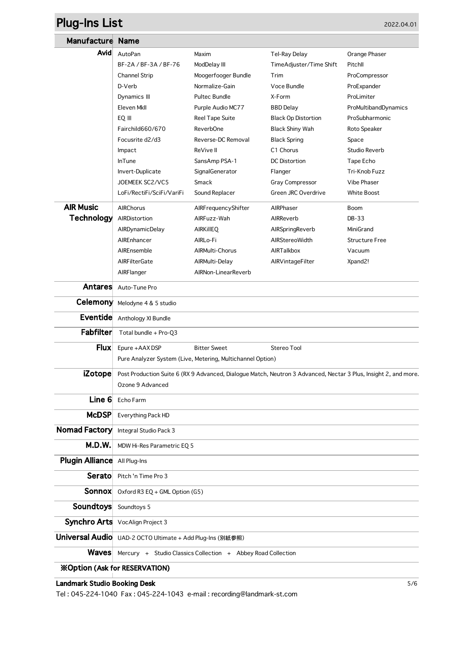# **Plug-Ins List** 2022.04.01

| Manufacture                          | <b>Name</b>                                                                                                     |                        |                            |                       |  |
|--------------------------------------|-----------------------------------------------------------------------------------------------------------------|------------------------|----------------------------|-----------------------|--|
| Avid                                 | AutoPan                                                                                                         | Maxim                  | Tel-Ray Delay              | Orange Phaser         |  |
|                                      | BF-2A / BF-3A / BF-76                                                                                           | ModDelay III           | TimeAdjuster/Time Shift    | Pitchll               |  |
|                                      | <b>Channel Strip</b>                                                                                            | Moogerfooger Bundle    | Trim                       | ProCompressor         |  |
|                                      | D-Verb                                                                                                          | Normalize-Gain         | Voce Bundle                | ProExpander           |  |
|                                      | Dynamics III                                                                                                    | <b>Pultec Bundle</b>   | X-Form                     | ProLimiter            |  |
|                                      | Eleven Mkll                                                                                                     | Purple Audio MC77      | <b>BBD</b> Delay           | ProMultibandDynamics  |  |
|                                      | EQ III                                                                                                          | <b>Reel Tape Suite</b> | <b>Black Op Distortion</b> | ProSubharmonic        |  |
|                                      | Fairchild660/670                                                                                                | <b>ReverbOne</b>       | <b>Black Shiny Wah</b>     | Roto Speaker          |  |
|                                      | Focusrite d2/d3                                                                                                 | Reverse-DC Removal     | <b>Black Spring</b>        | Space                 |  |
|                                      | Impact                                                                                                          | ReVive II              | C <sub>1</sub> Chorus      | Studio Reverb         |  |
|                                      | <b>InTune</b>                                                                                                   | SansAmp PSA-1          | <b>DC</b> Distortion       | Tape Echo             |  |
|                                      | Invert-Duplicate                                                                                                | SignalGenerator        | Flanger                    | Tri-Knob Fuzz         |  |
|                                      | JOEMEEK SC2/VC5                                                                                                 | Smack                  | Gray Compressor            | Vibe Phaser           |  |
|                                      | LoFi/RectiFi/SciFi/VariFi                                                                                       | Sound Replacer         | Green JRC Overdrive        | <b>White Boost</b>    |  |
| <b>AIR Music</b>                     | AIRChorus                                                                                                       | AIRFrequencyShifter    | AIRPhaser                  | Boom                  |  |
| <b>Technology</b>                    | AIRDistortion                                                                                                   | AIRFuzz-Wah            | AIRReverb                  | DB-33                 |  |
|                                      | AIRDynamicDelay                                                                                                 | <b>AIRKIIEQ</b>        | AIRSpringReverb            | MiniGrand             |  |
|                                      | AIREnhancer                                                                                                     | AIRLo-Fi               | AIRStereoWidth             | <b>Structure Free</b> |  |
|                                      | AIREnsemble                                                                                                     | AIRMulti-Chorus        | AIRTalkbox                 | Vacuum                |  |
|                                      | AIRFilterGate                                                                                                   | AIRMulti-Delay         | AIRVintageFilter           | Xpand2!               |  |
|                                      | AIRFlanger                                                                                                      | AIRNon-LinearReverb    |                            |                       |  |
| <b>Antares</b>                       | Auto-Tune Pro                                                                                                   |                        |                            |                       |  |
| Celemony                             | Melodyne 4 & 5 studio                                                                                           |                        |                            |                       |  |
| <b>Eventide</b>                      | Anthology XI Bundle                                                                                             |                        |                            |                       |  |
| Fabfilter                            | Total bundle + Pro-Q3                                                                                           |                        |                            |                       |  |
| <b>Flux</b>                          | Epure +AAX DSP                                                                                                  | <b>Bitter Sweet</b>    | Stereo Tool                |                       |  |
|                                      | Pure Analyzer System (Live, Metering, Multichannel Option)                                                      |                        |                            |                       |  |
| <b>iZotope</b>                       | Post Production Suite 6 (RX 9 Advanced, Dialogue Match, Neutron 3 Advanced, Nectar 3 Plus, Insight 2, and more. |                        |                            |                       |  |
|                                      | Ozone 9 Advanced                                                                                                |                        |                            |                       |  |
| Line 6                               |                                                                                                                 |                        |                            |                       |  |
|                                      | Echo Farm                                                                                                       |                        |                            |                       |  |
| <b>McDSP</b>                         | Everything Pack HD                                                                                              |                        |                            |                       |  |
| Nomad Factory                        | Integral Studio Pack 3                                                                                          |                        |                            |                       |  |
| M.D.W.                               | MDW Hi-Res Parametric EQ 5                                                                                      |                        |                            |                       |  |
| <b>Plugin Alliance</b> All Plug-Ins  |                                                                                                                 |                        |                            |                       |  |
| Serato                               | Pitch 'n Time Pro 3                                                                                             |                        |                            |                       |  |
| Sonnox                               | Oxford R3 EQ + GML Option (G5)                                                                                  |                        |                            |                       |  |
| <b>Soundtoys</b>                     | Soundtoys 5                                                                                                     |                        |                            |                       |  |
|                                      | <b>Synchro Arts</b> VocAlign Project 3                                                                          |                        |                            |                       |  |
|                                      | Universal Audio UAD-2 OCTO Ultimate + Add Plug-Ins (別紙参照)                                                       |                        |                            |                       |  |
| <b>Waves</b>                         | Mercury + Studio Classics Collection + Abbey Road Collection                                                    |                        |                            |                       |  |
| <b>※Option (Ask for RESERVATION)</b> |                                                                                                                 |                        |                            |                       |  |

#### Landmark Studio Booking Desk 5/6

Tel : 045-224-1040 Fax : 045-224-1043 e-mail : recording@landmark-st.com